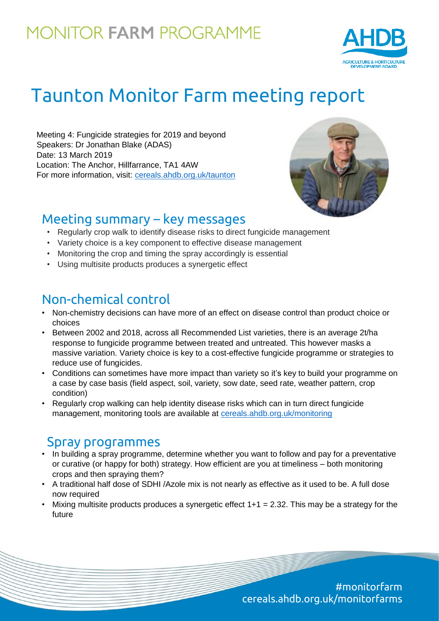## **MONITOR FARM PROGRAMME**



# Taunton Monitor Farm meeting report

Meeting 4: Fungicide strategies for 2019 and beyond Speakers: Dr Jonathan Blake (ADAS) Date: 13 March 2019 Location: The Anchor, Hillfarrance, TA1 4AW For more information, visit: [cereals.ahdb.org.uk/taunton](https://cereals.ahdb.org.uk/get-involved/monitorfarms/taunton-monitor-farm.aspx)



### Meeting summary – key messages

- Regularly crop walk to identify disease risks to direct fungicide management
- Variety choice is a key component to effective disease management
- Monitoring the crop and timing the spray accordingly is essential
- Using multisite products produces a synergetic effect

## Non-chemical control

- Non-chemistry decisions can have more of an effect on disease control than product choice or choices
- Between 2002 and 2018, across all Recommended List varieties, there is an average 2t/ha response to fungicide programme between treated and untreated. This however masks a massive variation. Variety choice is key to a cost-effective fungicide programme or strategies to reduce use of fungicides.
- Conditions can sometimes have more impact than variety so it's key to build your programme on a case by case basis (field aspect, soil, variety, sow date, seed rate, weather pattern, crop condition)
- Regularly crop walking can help identity disease risks which can in turn direct fungicide management, monitoring tools are available at [cereals.ahdb.org.uk/monitoring](https://cereals.ahdb.org.uk/monitoring/)

### Spray programmes

- In building a spray programme, determine whether you want to follow and pay for a preventative or curative (or happy for both) strategy. How efficient are you at timeliness – both monitoring crops and then spraying them?
- A traditional half dose of SDHI /Azole mix is not nearly as effective as it used to be. A full dose now required
- Mixing multisite products produces a synergetic effect  $1+1 = 2.32$ . This may be a strategy for the future

#monitorfarm cereals.ahdb.org.uk/monitorfarms